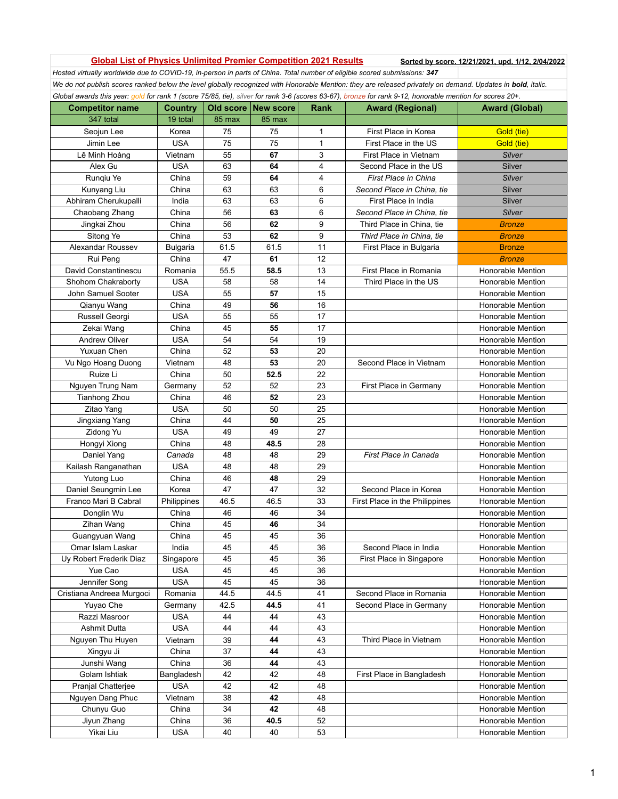## Global List of Physics Unlimited Premier Competition 2021 Results Sorted by score. 12/21/2021, upd. 1/12, 2/04/2022

*Hosted virtually worldwide due to COVID-19, in-person in parts of China. Total number of eligible scored submissions: 347* We do not publish scores ranked below the level globally recognized with Honorable Mention: they are released privately on demand. Updates in **bold**, italic. *Global awards this year: gold for rank 1 (score 75/85, tie), silver for rank 3-6 (scores 63-67), bronze for rank 9-12, honorable mention for scores 20+.* 

| <b>Competitor name</b>    | <b>Country</b>  | Old score     | <b>New score</b> | Rank | <b>Award (Regional)</b>        | <b>Award (Global)</b>    |
|---------------------------|-----------------|---------------|------------------|------|--------------------------------|--------------------------|
| 347 total                 | 19 total        | <b>85 max</b> | 85 max           |      |                                |                          |
| Seojun Lee                | Korea           | 75            | 75               | 1    | First Place in Korea           | Gold (tie)               |
| Jimin Lee                 | <b>USA</b>      | 75            | 75               | 1    | First Place in the US          | Gold (tie)               |
| Lê Minh Hoàng             | Vietnam         | 55            | 67               | 3    | First Place in Vietnam         | <b>Silver</b>            |
| Alex Gu                   | <b>USA</b>      | 63            | 64               | 4    | Second Place in the US         | Silver                   |
| Rungiu Ye                 | China           | 59            | 64               | 4    | <b>First Place in China</b>    | <b>Silver</b>            |
| Kunyang Liu               | China           | 63            | 63               | 6    | Second Place in China, tie     | Silver                   |
| Abhiram Cherukupalli      | India           | 63            | 63               | 6    | First Place in India           | Silver                   |
| Chaobang Zhang            | China           | 56            | 63               | 6    | Second Place in China, tie     | <b>Silver</b>            |
| Jingkai Zhou              | China           | 56            | 62               | 9    | Third Place in China, tie      | <b>Bronze</b>            |
| Sitong Ye                 | China           | 53            | 62               | 9    | Third Place in China, tie      | <b>Bronze</b>            |
| Alexandar Roussev         | <b>Bulgaria</b> | 61.5          | 61.5             | 11   | First Place in Bulgaria        | <b>Bronze</b>            |
| Rui Peng                  | China           | 47            | 61               | 12   |                                | <b>Bronze</b>            |
| David Constantinescu      | Romania         | 55.5          | 58.5             | 13   | First Place in Romania         | Honorable Mention        |
| Shohom Chakraborty        | <b>USA</b>      | 58            | 58               | 14   | Third Place in the US          | Honorable Mention        |
| John Samuel Sooter        | <b>USA</b>      | 55            | 57               | 15   |                                | Honorable Mention        |
| Qianyu Wang               | China           | 49            | 56               | 16   |                                | Honorable Mention        |
| Russell Georgi            | <b>USA</b>      | 55            | 55               | 17   |                                | <b>Honorable Mention</b> |
| Zekai Wang                | China           | 45            | 55               | 17   |                                | Honorable Mention        |
| Andrew Oliver             | <b>USA</b>      | 54            | 54               | 19   |                                | <b>Honorable Mention</b> |
| Yuxuan Chen               | China           | 52            | 53               | 20   |                                | Honorable Mention        |
| Vu Ngo Hoang Duong        | Vietnam         | 48            | 53               | 20   | Second Place in Vietnam        | Honorable Mention        |
| Ruize Li                  | China           | 50            | 52.5             | 22   |                                | Honorable Mention        |
| Nguyen Trung Nam          | Germany         | 52            | 52               | 23   | First Place in Germany         | Honorable Mention        |
| Tianhong Zhou             | China           | 46            | 52               | 23   |                                | Honorable Mention        |
| Zitao Yang                | <b>USA</b>      | 50            | 50               | 25   |                                | Honorable Mention        |
| Jingxiang Yang            | China           | 44            | 50               | 25   |                                | Honorable Mention        |
| Zidong Yu                 | <b>USA</b>      | 49            | 49               | 27   |                                | Honorable Mention        |
| Hongyi Xiong              | China           | 48            | 48.5             | 28   |                                | Honorable Mention        |
| Daniel Yang               | Canada          | 48            | 48               | 29   | First Place in Canada          | Honorable Mention        |
| Kailash Ranganathan       | <b>USA</b>      | 48            | 48               | 29   |                                | Honorable Mention        |
| Yutong Luo                | China           | 46            | 48               | 29   |                                | <b>Honorable Mention</b> |
| Daniel Seungmin Lee       | Korea           | 47            | 47               | 32   | Second Place in Korea          | Honorable Mention        |
| Franco Mari B Cabral      | Philippines     | 46.5          | 46.5             | 33   | First Place in the Philippines | Honorable Mention        |
| Donglin Wu                | China           | 46            | 46               | 34   |                                | Honorable Mention        |
| Zihan Wang                | China           | 45            | 46               | 34   |                                | <b>Honorable Mention</b> |
| Guangyuan Wang            | China           | 45            | 45               | 36   |                                | Honorable Mention        |
| Omar Islam Laskar         | India           | 45            | 45               | 36   | Second Place in India          | Honorable Mention        |
| Uy Robert Frederik Diaz   | Singapore       | 45            | 45               | 36   | First Place in Singapore       | Honorable Mention        |
| Yue Cao                   | <b>USA</b>      | 45            | 45               | 36   |                                | <b>Honorable Mention</b> |
| Jennifer Song             | <b>USA</b>      | 45            | 45               | 36   |                                | Honorable Mention        |
| Cristiana Andreea Murgoci | Romania         | 44.5          | 44.5             | 41   | Second Place in Romania        | Honorable Mention        |
| Yuyao Che                 | Germany         | 42.5          | 44.5             | 41   | Second Place in Germany        | Honorable Mention        |
| Razzi Masroor             | <b>USA</b>      | 44            | 44               | 43   |                                | Honorable Mention        |
| Ashmit Dutta              | <b>USA</b>      | 44            | 44               | 43   |                                | Honorable Mention        |
| Nguyen Thu Huyen          | Vietnam         | 39            | 44               | 43   | Third Place in Vietnam         | Honorable Mention        |
| Xingyu Ji                 | China           | 37            | 44               | 43   |                                | Honorable Mention        |
| Junshi Wang               | China           | 36            | 44               | 43   |                                | Honorable Mention        |
| Golam Ishtiak             | Bangladesh      | 42            | 42               | 48   | First Place in Bangladesh      | <b>Honorable Mention</b> |
| Pranjal Chatterjee        | <b>USA</b>      | 42            | 42               | 48   |                                | Honorable Mention        |
| Nguyen Dang Phuc          | Vietnam         | 38            | 42               | 48   |                                | Honorable Mention        |
| Chunyu Guo                | China           | 34            | 42               | 48   |                                | Honorable Mention        |
| Jiyun Zhang               | China           | 36            | 40.5             | 52   |                                | Honorable Mention        |
| Yikai Liu                 | <b>USA</b>      | 40            | 40               | 53   |                                | Honorable Mention        |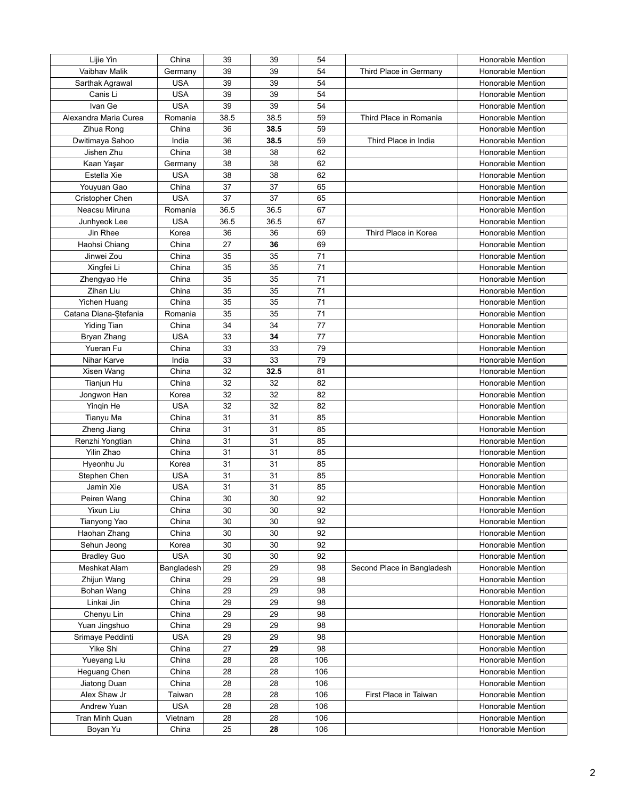| Lijie Yin             | China      | 39              | 39   | 54  |                            | Honorable Mention        |
|-----------------------|------------|-----------------|------|-----|----------------------------|--------------------------|
| Vaibhav Malik         | Germany    | 39              | 39   | 54  | Third Place in Germany     | Honorable Mention        |
| Sarthak Agrawal       | <b>USA</b> | 39              | 39   | 54  |                            | Honorable Mention        |
| Canis Li              | <b>USA</b> | 39              | 39   | 54  |                            | Honorable Mention        |
| Ivan Ge               | <b>USA</b> | 39              | 39   | 54  |                            | Honorable Mention        |
|                       |            | 38.5            | 38.5 | 59  |                            |                          |
| Alexandra Maria Curea | Romania    |                 |      |     | Third Place in Romania     | <b>Honorable Mention</b> |
| Zihua Rong            | China      | 36              | 38.5 | 59  |                            | <b>Honorable Mention</b> |
| Dwitimaya Sahoo       | India      | 36              | 38.5 | 59  | Third Place in India       | <b>Honorable Mention</b> |
| Jishen Zhu            | China      | 38              | 38   | 62  |                            | Honorable Mention        |
| Kaan Yaşar            | Germany    | 38              | 38   | 62  |                            | Honorable Mention        |
| Estella Xie           | <b>USA</b> | 38              | 38   | 62  |                            | Honorable Mention        |
| Youyuan Gao           | China      | 37              | 37   | 65  |                            | Honorable Mention        |
| Cristopher Chen       | <b>USA</b> | 37              | 37   | 65  |                            | Honorable Mention        |
| Neacsu Miruna         | Romania    | 36.5            | 36.5 | 67  |                            | Honorable Mention        |
| Junhyeok Lee          | <b>USA</b> | 36.5            | 36.5 | 67  |                            | Honorable Mention        |
| Jin Rhee              | Korea      | 36              | 36   | 69  | Third Place in Korea       | Honorable Mention        |
| Haohsi Chiang         | China      | 27              | 36   | 69  |                            | <b>Honorable Mention</b> |
| Jinwei Zou            | China      | 35              | 35   | 71  |                            | Honorable Mention        |
| Xingfei Li            | China      | 35              | 35   | 71  |                            | <b>Honorable Mention</b> |
| Zhengyao He           | China      | 35              | 35   | 71  |                            | Honorable Mention        |
| Zihan Liu             | China      | 35              | 35   | 71  |                            | <b>Honorable Mention</b> |
| Yichen Huang          | China      | 35              | 35   | 71  |                            | <b>Honorable Mention</b> |
|                       |            | 35              | 35   | 71  |                            | <b>Honorable Mention</b> |
| Catana Diana-Ștefania | Romania    |                 |      |     |                            |                          |
| <b>Yiding Tian</b>    | China      | 34              | 34   | 77  |                            | Honorable Mention        |
| Bryan Zhang           | <b>USA</b> | 33              | 34   | 77  |                            | Honorable Mention        |
| Yueran Fu             | China      | 33              | 33   | 79  |                            | Honorable Mention        |
| Nihar Karve           | India      | 33              | 33   | 79  |                            | Honorable Mention        |
| Xisen Wang            | China      | 32              | 32.5 | 81  |                            | <b>Honorable Mention</b> |
| Tianjun Hu            | China      | 32              | 32   | 82  |                            | Honorable Mention        |
| Jongwon Han           | Korea      | 32              | 32   | 82  |                            | Honorable Mention        |
| Yingin He             | <b>USA</b> | 32              | 32   | 82  |                            | Honorable Mention        |
| Tianyu Ma             | China      | 31              | 31   | 85  |                            | Honorable Mention        |
| Zheng Jiang           | China      | 31              | 31   | 85  |                            | Honorable Mention        |
| Renzhi Yongtian       | China      | 31              | 31   | 85  |                            | Honorable Mention        |
| Yilin Zhao            | China      | $\overline{31}$ | 31   | 85  |                            | Honorable Mention        |
| Hyeonhu Ju            | Korea      | 31              | 31   | 85  |                            | <b>Honorable Mention</b> |
| Stephen Chen          | <b>USA</b> | 31              | 31   | 85  |                            | Honorable Mention        |
| Jamin Xie             | <b>USA</b> | 31              | 31   | 85  |                            | Honorable Mention        |
| Peiren Wang           | China      | 30              | 30   | 92  |                            | Honorable Mention        |
| Yixun Liu             | China      | 30              | 30   | 92  |                            | Honorable Mention        |
| Tianyong Yao          | China      | 30              | 30   | 92  |                            | <b>Honorable Mention</b> |
| Haohan Zhang          | China      | 30              | 30   | 92  |                            | Honorable Mention        |
| Sehun Jeong           | Korea      | 30              | 30   | 92  |                            | Honorable Mention        |
|                       | <b>USA</b> | 30              | 30   | 92  |                            | Honorable Mention        |
| <b>Bradley Guo</b>    |            |                 |      |     |                            |                          |
| Meshkat Alam          | Bangladesh | 29              | 29   | 98  | Second Place in Bangladesh | <b>Honorable Mention</b> |
| Zhijun Wang           | China      | 29              | 29   | 98  |                            | Honorable Mention        |
| Bohan Wang            | China      | 29              | 29   | 98  |                            | Honorable Mention        |
| Linkai Jin            | China      | 29              | 29   | 98  |                            | Honorable Mention        |
| Chenyu Lin            | China      | 29              | 29   | 98  |                            | Honorable Mention        |
| Yuan Jingshuo         | China      | 29              | 29   | 98  |                            | Honorable Mention        |
| Srimaye Peddinti      | <b>USA</b> | 29              | 29   | 98  |                            | Honorable Mention        |
| Yike Shi              | China      | 27              | 29   | 98  |                            | Honorable Mention        |
| Yueyang Liu           | China      | 28              | 28   | 106 |                            | Honorable Mention        |
| Heguang Chen          | China      | 28              | 28   | 106 |                            | Honorable Mention        |
| Jiatong Duan          | China      | 28              | 28   | 106 |                            | Honorable Mention        |
| Alex Shaw Jr          | Taiwan     | 28              | 28   | 106 | First Place in Taiwan      | Honorable Mention        |
| Andrew Yuan           | <b>USA</b> | 28              | 28   | 106 |                            | Honorable Mention        |
| Tran Minh Quan        | Vietnam    | 28              | 28   | 106 |                            | Honorable Mention        |
| Boyan Yu              | China      | 25              | 28   | 106 |                            | Honorable Mention        |
|                       |            |                 |      |     |                            |                          |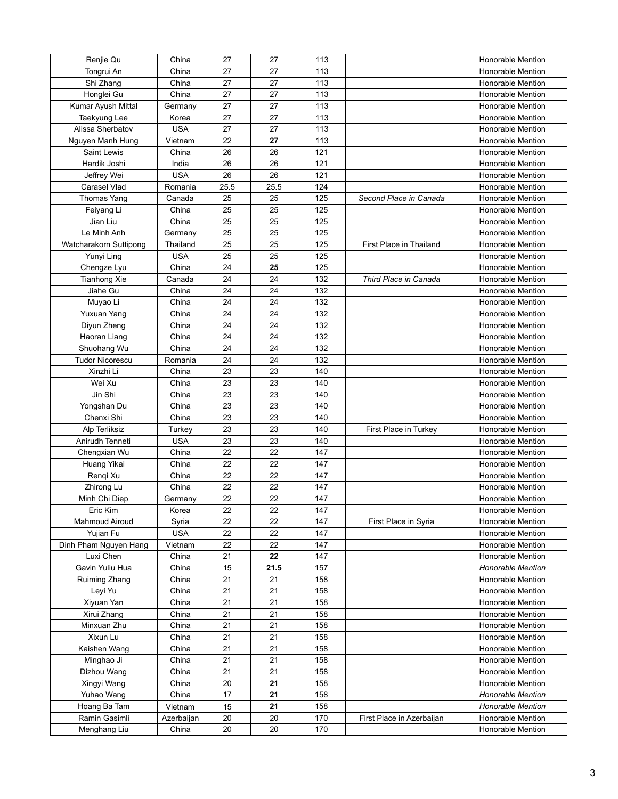| Renjie Qu              | China               | 27              | 27   | 113 |                           | Honorable Mention        |
|------------------------|---------------------|-----------------|------|-----|---------------------------|--------------------------|
| Tongrui An             | China               | 27              | 27   | 113 |                           | Honorable Mention        |
| Shi Zhang              | China               | 27              | 27   | 113 |                           | Honorable Mention        |
| Honglei Gu             | China               | $\overline{27}$ | 27   | 113 |                           | Honorable Mention        |
| Kumar Ayush Mittal     | Germany             | 27              | 27   | 113 |                           | Honorable Mention        |
| Taekyung Lee           | Korea               | 27              | 27   | 113 |                           | Honorable Mention        |
| Alissa Sherbatov       | <b>USA</b>          | 27              | 27   | 113 |                           | Honorable Mention        |
| Nguyen Manh Hung       | Vietnam             | 22              | 27   | 113 |                           | Honorable Mention        |
| Saint Lewis            | China               | 26              | 26   | 121 |                           | Honorable Mention        |
| Hardik Joshi           | India               | 26              | 26   | 121 |                           | Honorable Mention        |
| Jeffrey Wei            | <b>USA</b>          | 26              | 26   | 121 |                           | Honorable Mention        |
| Carasel Vlad           | Romania             | 25.5            | 25.5 | 124 |                           | <b>Honorable Mention</b> |
| <b>Thomas Yang</b>     | Canada              | 25              | 25   | 125 | Second Place in Canada    | <b>Honorable Mention</b> |
| Feiyang Li             | China               | 25              | 25   | 125 |                           | Honorable Mention        |
| Jian Liu               | China               | 25              | 25   | 125 |                           | Honorable Mention        |
| Le Minh Anh            | Germany             | 25              | 25   | 125 |                           | Honorable Mention        |
| Watcharakorn Suttipong | Thailand            | 25              | 25   | 125 | First Place in Thailand   | Honorable Mention        |
| Yunyi Ling             | <b>USA</b>          | 25              | 25   | 125 |                           | Honorable Mention        |
| Chengze Lyu            | China               | 24              | 25   | 125 |                           | <b>Honorable Mention</b> |
| <b>Tianhong Xie</b>    | Canada              | 24              | 24   | 132 | Third Place in Canada     | Honorable Mention        |
| Jiahe Gu               | China               | 24              | 24   | 132 |                           | Honorable Mention        |
|                        |                     |                 |      |     |                           |                          |
| Muyao Li               | China               | 24              | 24   | 132 |                           | <b>Honorable Mention</b> |
| Yuxuan Yang            | China               | 24              | 24   | 132 |                           | Honorable Mention        |
| Diyun Zheng            | China               | 24              | 24   | 132 |                           | <b>Honorable Mention</b> |
| Haoran Liang           | $\overline{Ch}$ ina | 24              | 24   | 132 |                           | Honorable Mention        |
| Shuohang Wu            | China               | 24              | 24   | 132 |                           | Honorable Mention        |
| <b>Tudor Nicorescu</b> | Romania             | 24              | 24   | 132 |                           | Honorable Mention        |
| Xinzhi Li              | China               | 23              | 23   | 140 |                           | Honorable Mention        |
| Wei Xu                 | China               | 23              | 23   | 140 |                           | Honorable Mention        |
| Jin Shi                | China               | 23              | 23   | 140 |                           | Honorable Mention        |
| Yongshan Du            | China               | 23              | 23   | 140 |                           | Honorable Mention        |
| Chenxi Shi             | China               | 23              | 23   | 140 |                           | Honorable Mention        |
| Alp Terliksiz          | Turkey              | 23              | 23   | 140 | First Place in Turkey     | Honorable Mention        |
| Anirudh Tenneti        | <b>USA</b>          | 23              | 23   | 140 |                           | Honorable Mention        |
| Chengxian Wu           | China               | 22              | 22   | 147 |                           | Honorable Mention        |
| Huang Yikai            | China               | 22              | 22   | 147 |                           | Honorable Mention        |
| Rengi Xu               | China               | 22              | 22   | 147 |                           | Honorable Mention        |
| Zhirong Lu             | China               | 22              | 22   | 147 |                           | Honorable Mention        |
| Minh Chi Diep          | Germany             | 22              | 22   | 147 |                           | Honorable Mention        |
| Eric Kim               | Korea               | 22              | 22   | 147 |                           | Honorable Mention        |
| <b>Mahmoud Airoud</b>  | Syria               | 22              | 22   | 147 | First Place in Syria      | Honorable Mention        |
| Yujian Fu              | <b>USA</b>          | 22              | 22   | 147 |                           | <b>Honorable Mention</b> |
| Dinh Pham Nguyen Hang  | Vietnam             | 22              | 22   | 147 |                           | <b>Honorable Mention</b> |
| Luxi Chen              | China               | 21              | 22   | 147 |                           | Honorable Mention        |
| Gavin Yuliu Hua        | China               | 15              | 21.5 | 157 |                           | <b>Honorable Mention</b> |
| Ruiming Zhang          | China               | 21              | 21   | 158 |                           | <b>Honorable Mention</b> |
| Leyi Yu                | China               | 21              | 21   | 158 |                           | Honorable Mention        |
| Xiyuan Yan             | China               | 21              | 21   | 158 |                           | Honorable Mention        |
| Xirui Zhang            | China               | 21              | 21   | 158 |                           | Honorable Mention        |
| Minxuan Zhu            | China               | 21              | 21   | 158 |                           | Honorable Mention        |
| Xixun Lu               | China               | 21              | 21   | 158 |                           | Honorable Mention        |
| Kaishen Wang           | China               | 21              | 21   | 158 |                           | Honorable Mention        |
| Minghao Ji             | China               | 21              | 21   | 158 |                           | Honorable Mention        |
| Dizhou Wang            | China               | 21              | 21   | 158 |                           | Honorable Mention        |
| Xingyi Wang            | China               | 20              | 21   | 158 |                           | Honorable Mention        |
| Yuhao Wang             | China               | 17              | 21   | 158 |                           | Honorable Mention        |
| Hoang Ba Tam           | Vietnam             | 15              | 21   | 158 |                           | <b>Honorable Mention</b> |
| Ramin Gasimli          | Azerbaijan          | 20              | 20   | 170 | First Place in Azerbaijan | Honorable Mention        |
| Menghang Liu           | China               | 20              | 20   | 170 |                           | Honorable Mention        |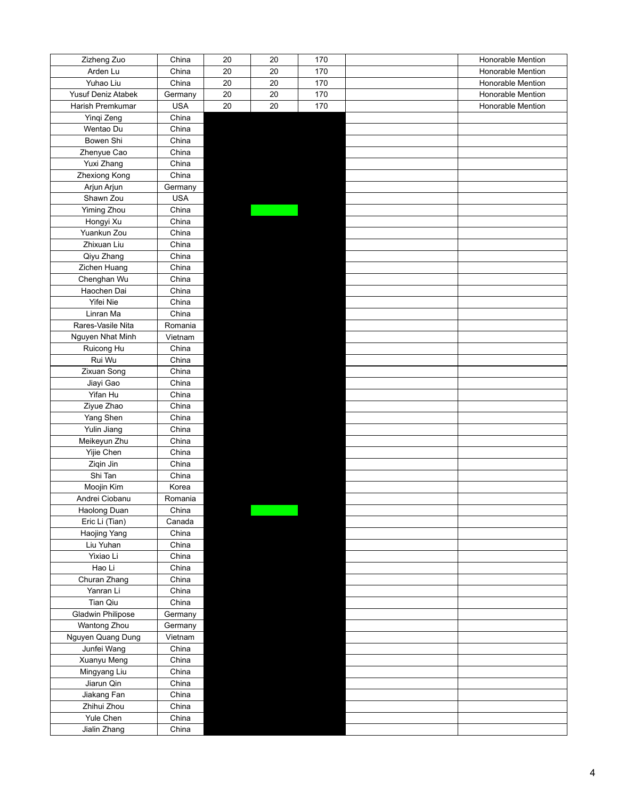| Zizheng Zuo              | China      | 20 | 20 | 170 | Honorable Mention        |
|--------------------------|------------|----|----|-----|--------------------------|
| Arden Lu                 | China      | 20 | 20 | 170 | Honorable Mention        |
| Yuhao Liu                | China      | 20 | 20 | 170 | <b>Honorable Mention</b> |
| Yusuf Deniz Atabek       | Germany    | 20 | 20 | 170 | Honorable Mention        |
| Harish Premkumar         | <b>USA</b> | 20 | 20 | 170 | Honorable Mention        |
| Yinqi Zeng               | China      |    |    |     |                          |
| Wentao Du                | China      |    |    |     |                          |
| <b>Bowen Shi</b>         | China      |    |    |     |                          |
| Zhenyue Cao              | China      |    |    |     |                          |
| Yuxi Zhang               | China      |    |    |     |                          |
| Zhexiong Kong            | China      |    |    |     |                          |
| Arjun Arjun              | Germany    |    |    |     |                          |
| Shawn Zou                | <b>USA</b> |    |    |     |                          |
| Yiming Zhou              | China      |    |    |     |                          |
| Hongyi Xu                | China      |    |    |     |                          |
| Yuankun Zou              | China      |    |    |     |                          |
| Zhixuan Liu              | China      |    |    |     |                          |
|                          |            |    |    |     |                          |
| Qiyu Zhang               | China      |    |    |     |                          |
| Zichen Huang             | China      |    |    |     |                          |
| Chenghan Wu              | China      |    |    |     |                          |
| Haochen Dai              | China      |    |    |     |                          |
| Yifei Nie                | China      |    |    |     |                          |
| Linran Ma                | China      |    |    |     |                          |
| Rares-Vasile Nita        | Romania    |    |    |     |                          |
| Nguyen Nhat Minh         | Vietnam    |    |    |     |                          |
| Ruicong Hu               | China      |    |    |     |                          |
| Rui Wu                   | China      |    |    |     |                          |
| Zixuan Song              | China      |    |    |     |                          |
| Jiayi Gao                | China      |    |    |     |                          |
| Yifan Hu                 | China      |    |    |     |                          |
| Ziyue Zhao               | China      |    |    |     |                          |
| Yang Shen                | China      |    |    |     |                          |
| Yulin Jiang              | China      |    |    |     |                          |
| Meikeyun Zhu             | China      |    |    |     |                          |
| Yijie Chen               | China      |    |    |     |                          |
| Ziqin Jin                | China      |    |    |     |                          |
| Shi Tan                  | China      |    |    |     |                          |
| Moojin Kim               | Korea      |    |    |     |                          |
| Andrei Ciobanu           | Romania    |    |    |     |                          |
| Haolong Duan             | China      |    |    |     |                          |
| Eric Li (Tian)           | Canada     |    |    |     |                          |
| Haojing Yang             | China      |    |    |     |                          |
| Liu Yuhan                | China      |    |    |     |                          |
| Yixiao Li                | China      |    |    |     |                          |
| Hao Li                   | China      |    |    |     |                          |
| Churan Zhang             | China      |    |    |     |                          |
| Yanran Li                | China      |    |    |     |                          |
| Tian Qiu                 | China      |    |    |     |                          |
| <b>Gladwin Philipose</b> | Germany    |    |    |     |                          |
| Wantong Zhou             | Germany    |    |    |     |                          |
| Nguyen Quang Dung        | Vietnam    |    |    |     |                          |
| Junfei Wang              | China      |    |    |     |                          |
| Xuanyu Meng              | China      |    |    |     |                          |
|                          | China      |    |    |     |                          |
| Mingyang Liu             | China      |    |    |     |                          |
| Jiarun Qin               | China      |    |    |     |                          |
| Jiakang Fan              |            |    |    |     |                          |
| Zhihui Zhou              | China      |    |    |     |                          |
| Yule Chen                | China      |    |    |     |                          |
| Jialin Zhang             | China      |    |    |     |                          |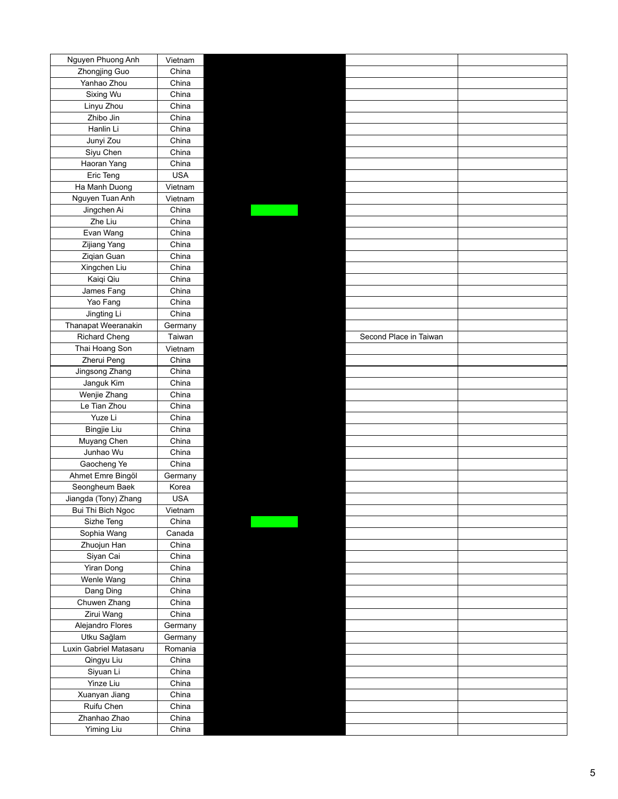| Nguyen Phuong Anh      | Vietnam    |                        |  |
|------------------------|------------|------------------------|--|
| Zhongjing Guo          | China      |                        |  |
| Yanhao Zhou            | China      |                        |  |
| Sixing Wu              | China      |                        |  |
| Linyu Zhou             | China      |                        |  |
| Zhibo Jin              | China      |                        |  |
| Hanlin Li              | China      |                        |  |
| Junyi Zou              | China      |                        |  |
| Siyu Chen              | China      |                        |  |
| Haoran Yang            | China      |                        |  |
| Eric Teng              | <b>USA</b> |                        |  |
| Ha Manh Duong          | Vietnam    |                        |  |
| Nguyen Tuan Anh        | Vietnam    |                        |  |
| Jingchen Ai            | China      |                        |  |
| Zhe Liu                | China      |                        |  |
| Evan Wang              | China      |                        |  |
| Zijiang Yang           | China      |                        |  |
| Ziqian Guan            | China      |                        |  |
| Xingchen Liu           | China      |                        |  |
| Kaiqi Qiu              | China      |                        |  |
| James Fang             | China      |                        |  |
| Yao Fang               | China      |                        |  |
| Jingting Li            | China      |                        |  |
| Thanapat Weeranakin    | Germany    |                        |  |
| <b>Richard Cheng</b>   | Taiwan     | Second Place in Taiwan |  |
| Thai Hoang Son         | Vietnam    |                        |  |
| Zherui Peng            | China      |                        |  |
| Jingsong Zhang         | China      |                        |  |
| Janguk Kim             | China      |                        |  |
| Wenjie Zhang           | China      |                        |  |
| Le Tian Zhou           | China      |                        |  |
| Yuze Li                | China      |                        |  |
| <b>Bingjie Liu</b>     | China      |                        |  |
| Muyang Chen            | China      |                        |  |
| Junhao Wu              | China      |                        |  |
| Gaocheng Ye            | China      |                        |  |
| Ahmet Emre Bingöl      | Germany    |                        |  |
| Seongheum Baek         | Korea      |                        |  |
| Jiangda (Tony) Zhang   | <b>USA</b> |                        |  |
| Bui Thi Bich Ngoc      | Vietnam    |                        |  |
| Sizhe Teng             | China      |                        |  |
| Sophia Wang            | Canada     |                        |  |
| Zhuojun Han            | China      |                        |  |
| Siyan Cai              | China      |                        |  |
| Yiran Dong             | China      |                        |  |
| Wenle Wang             | China      |                        |  |
| Dang Ding              | China      |                        |  |
| Chuwen Zhang           | China      |                        |  |
| Zirui Wang             | China      |                        |  |
| Alejandro Flores       | Germany    |                        |  |
| Utku Sağlam            | Germany    |                        |  |
| Luxin Gabriel Matasaru | Romania    |                        |  |
| Qingyu Liu             | China      |                        |  |
| Siyuan Li              | China      |                        |  |
| Yinze Liu              | China      |                        |  |
| Xuanyan Jiang          | China      |                        |  |
| Ruifu Chen             | China      |                        |  |
| Zhanhao Zhao           | China      |                        |  |
| Yiming Liu             | China      |                        |  |